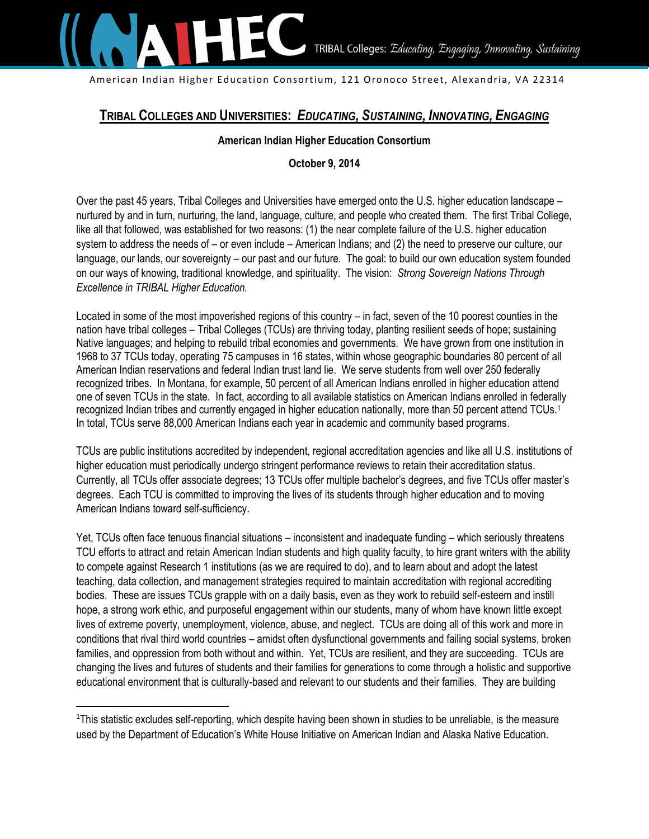

American Indian Higher Education Consortium, 121 Oronoco Street, Alexandria, VA 22314

# **TRIBAL COLLEGES AND UNIVERSITIES:** *EDUCATING, SUSTAINING, INNOVATING, ENGAGING*

#### **American Indian Higher Education Consortium**

# **October 9, 2014**

Over the past 45 years, Tribal Colleges and Universities have emerged onto the U.S. higher education landscape – nurtured by and in turn, nurturing, the land, language, culture, and people who created them. The first Tribal College, like all that followed, was established for two reasons: (1) the near complete failure of the U.S. higher education system to address the needs of – or even include – American Indians; and (2) the need to preserve our culture, our language, our lands, our sovereignty – our past and our future. The goal: to build our own education system founded on our ways of knowing, traditional knowledge, and spirituality. The vision: *Strong Sovereign Nations Through Excellence in TRIBAL Higher Education.*

Located in some of the most impoverished regions of this country – in fact, seven of the 10 poorest counties in the nation have tribal colleges – Tribal Colleges (TCUs) are thriving today, planting resilient seeds of hope; sustaining Native languages; and helping to rebuild tribal economies and governments. We have grown from one institution in 1968 to 37 TCUs today, operating 75 campuses in 16 states, within whose geographic boundaries 80 percent of all American Indian reservations and federal Indian trust land lie. We serve students from well over 250 federally recognized tribes. In Montana, for example, 50 percent of all American Indians enrolled in higher education attend one of seven TCUs in the state. In fact, according to all available statistics on American Indians enrolled in federally recognized Indian tribes and currently engaged in higher education nationally, more than 50 percent attend TCUs.<sup>1</sup> In total, TCUs serve 88,000 American Indians each year in academic and community based programs.

TCUs are public institutions accredited by independent, regional accreditation agencies and like all U.S. institutions of higher education must periodically undergo stringent performance reviews to retain their accreditation status. Currently, all TCUs offer associate degrees; 13 TCUs offer multiple bachelor's degrees, and five TCUs offer master's degrees. Each TCU is committed to improving the lives of its students through higher education and to moving American Indians toward self-sufficiency.

Yet, TCUs often face tenuous financial situations – inconsistent and inadequate funding – which seriously threatens TCU efforts to attract and retain American Indian students and high quality faculty, to hire grant writers with the ability to compete against Research 1 institutions (as we are required to do), and to learn about and adopt the latest teaching, data collection, and management strategies required to maintain accreditation with regional accrediting bodies. These are issues TCUs grapple with on a daily basis, even as they work to rebuild self-esteem and instill hope, a strong work ethic, and purposeful engagement within our students, many of whom have known little except lives of extreme poverty, unemployment, violence, abuse, and neglect. TCUs are doing all of this work and more in conditions that rival third world countries – amidst often dysfunctional governments and failing social systems, broken families, and oppression from both without and within. Yet, TCUs are resilient, and they are succeeding. TCUs are changing the lives and futures of students and their families for generations to come through a holistic and supportive educational environment that is culturally-based and relevant to our students and their families. They are building

l

<sup>1</sup>This statistic excludes self-reporting, which despite having been shown in studies to be unreliable, is the measure used by the Department of Education's White House Initiative on American Indian and Alaska Native Education.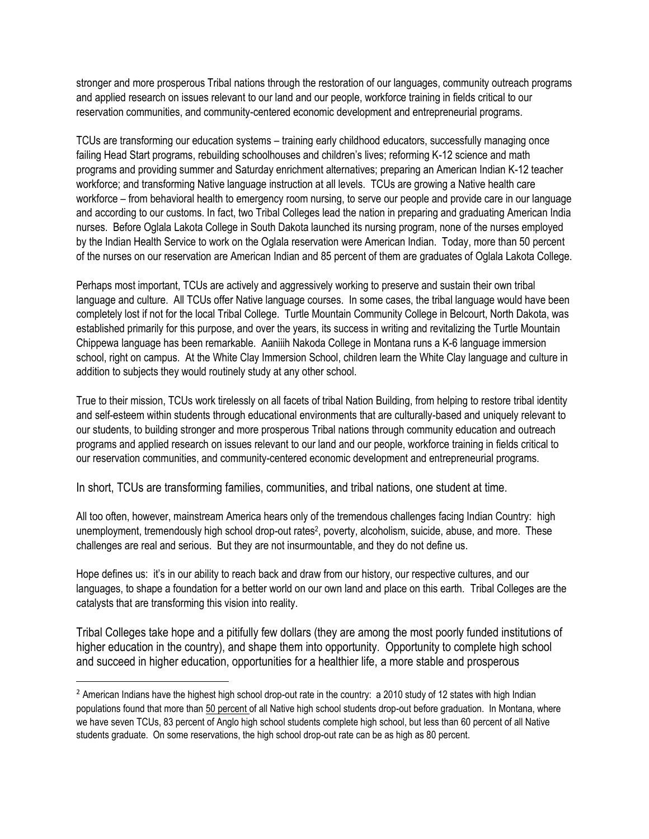stronger and more prosperous Tribal nations through the restoration of our languages, community outreach programs and applied research on issues relevant to our land and our people, workforce training in fields critical to our reservation communities, and community-centered economic development and entrepreneurial programs.

TCUs are transforming our education systems – training early childhood educators, successfully managing once failing Head Start programs, rebuilding schoolhouses and children's lives; reforming K-12 science and math programs and providing summer and Saturday enrichment alternatives; preparing an American Indian K-12 teacher workforce; and transforming Native language instruction at all levels. TCUs are growing a Native health care workforce – from behavioral health to emergency room nursing, to serve our people and provide care in our language and according to our customs. In fact, two Tribal Colleges lead the nation in preparing and graduating American India nurses. Before Oglala Lakota College in South Dakota launched its nursing program, none of the nurses employed by the Indian Health Service to work on the Oglala reservation were American Indian. Today, more than 50 percent of the nurses on our reservation are American Indian and 85 percent of them are graduates of Oglala Lakota College.

Perhaps most important, TCUs are actively and aggressively working to preserve and sustain their own tribal language and culture. All TCUs offer Native language courses. In some cases, the tribal language would have been completely lost if not for the local Tribal College. Turtle Mountain Community College in Belcourt, North Dakota, was established primarily for this purpose, and over the years, its success in writing and revitalizing the Turtle Mountain Chippewa language has been remarkable. Aaniiih Nakoda College in Montana runs a K-6 language immersion school, right on campus. At the White Clay Immersion School, children learn the White Clay language and culture in addition to subjects they would routinely study at any other school.

True to their mission, TCUs work tirelessly on all facets of tribal Nation Building, from helping to restore tribal identity and self-esteem within students through educational environments that are culturally-based and uniquely relevant to our students, to building stronger and more prosperous Tribal nations through community education and outreach programs and applied research on issues relevant to our land and our people, workforce training in fields critical to our reservation communities, and community-centered economic development and entrepreneurial programs.

In short, TCUs are transforming families, communities, and tribal nations, one student at time.

All too often, however, mainstream America hears only of the tremendous challenges facing Indian Country: high unemployment, tremendously high school drop-out rates<sup>2</sup>, poverty, alcoholism, suicide, abuse, and more. These challenges are real and serious. But they are not insurmountable, and they do not define us.

Hope defines us: it's in our ability to reach back and draw from our history, our respective cultures, and our languages, to shape a foundation for a better world on our own land and place on this earth. Tribal Colleges are the catalysts that are transforming this vision into reality.

Tribal Colleges take hope and a pitifully few dollars (they are among the most poorly funded institutions of higher education in the country), and shape them into opportunity. Opportunity to complete high school and succeed in higher education, opportunities for a healthier life, a more stable and prosperous

 $\overline{\phantom{a}}$ 

<sup>&</sup>lt;sup>2</sup> American Indians have the highest high school drop-out rate in the country: a 2010 study of 12 states with high Indian populations found that more than 50 percent of all Native high school students drop-out before graduation. In Montana, where we have seven TCUs, 83 percent of Anglo high school students complete high school, but less than 60 percent of all Native students graduate. On some reservations, the high school drop-out rate can be as high as 80 percent.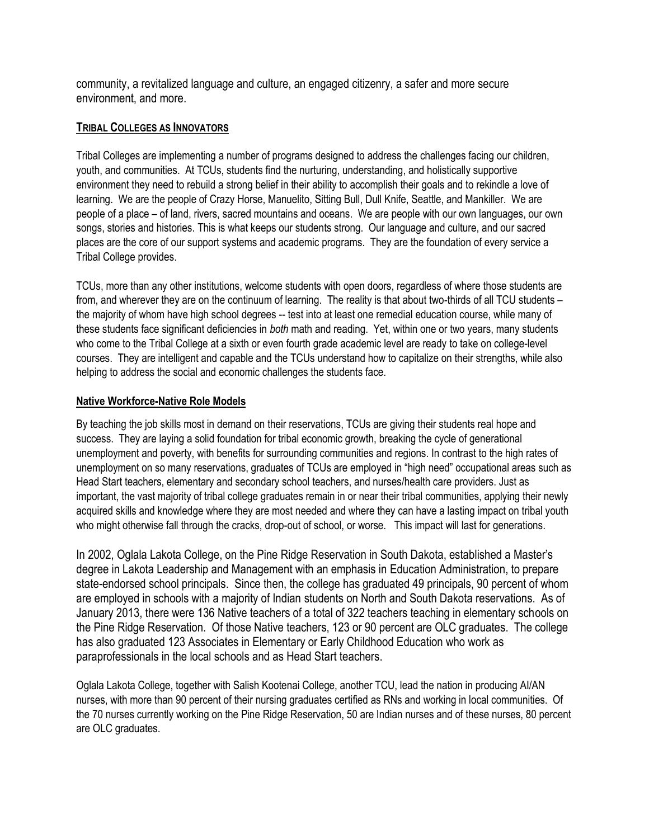community, a revitalized language and culture, an engaged citizenry, a safer and more secure environment, and more.

#### **TRIBAL COLLEGES AS INNOVATORS**

Tribal Colleges are implementing a number of programs designed to address the challenges facing our children, youth, and communities. At TCUs, students find the nurturing, understanding, and holistically supportive environment they need to rebuild a strong belief in their ability to accomplish their goals and to rekindle a love of learning. We are the people of Crazy Horse, Manuelito, Sitting Bull, Dull Knife, Seattle, and Mankiller. We are people of a place – of land, rivers, sacred mountains and oceans. We are people with our own languages, our own songs, stories and histories. This is what keeps our students strong. Our language and culture, and our sacred places are the core of our support systems and academic programs. They are the foundation of every service a Tribal College provides.

TCUs, more than any other institutions, welcome students with open doors, regardless of where those students are from, and wherever they are on the continuum of learning. The reality is that about two-thirds of all TCU students – the majority of whom have high school degrees -- test into at least one remedial education course, while many of these students face significant deficiencies in *both* math and reading. Yet, within one or two years, many students who come to the Tribal College at a sixth or even fourth grade academic level are ready to take on college-level courses. They are intelligent and capable and the TCUs understand how to capitalize on their strengths, while also helping to address the social and economic challenges the students face.

## **Native Workforce-Native Role Models**

By teaching the job skills most in demand on their reservations, TCUs are giving their students real hope and success. They are laying a solid foundation for tribal economic growth, breaking the cycle of generational unemployment and poverty, with benefits for surrounding communities and regions. In contrast to the high rates of unemployment on so many reservations, graduates of TCUs are employed in "high need" occupational areas such as Head Start teachers, elementary and secondary school teachers, and nurses/health care providers. Just as important, the vast majority of tribal college graduates remain in or near their tribal communities, applying their newly acquired skills and knowledge where they are most needed and where they can have a lasting impact on tribal youth who might otherwise fall through the cracks, drop-out of school, or worse. This impact will last for generations.

In 2002, Oglala Lakota College, on the Pine Ridge Reservation in South Dakota, established a Master's degree in Lakota Leadership and Management with an emphasis in Education Administration, to prepare state-endorsed school principals. Since then, the college has graduated 49 principals, 90 percent of whom are employed in schools with a majority of Indian students on North and South Dakota reservations. As of January 2013, there were 136 Native teachers of a total of 322 teachers teaching in elementary schools on the Pine Ridge Reservation. Of those Native teachers, 123 or 90 percent are OLC graduates. The college has also graduated 123 Associates in Elementary or Early Childhood Education who work as paraprofessionals in the local schools and as Head Start teachers.

Oglala Lakota College, together with Salish Kootenai College, another TCU, lead the nation in producing AI/AN nurses, with more than 90 percent of their nursing graduates certified as RNs and working in local communities. Of the 70 nurses currently working on the Pine Ridge Reservation, 50 are Indian nurses and of these nurses, 80 percent are OLC graduates.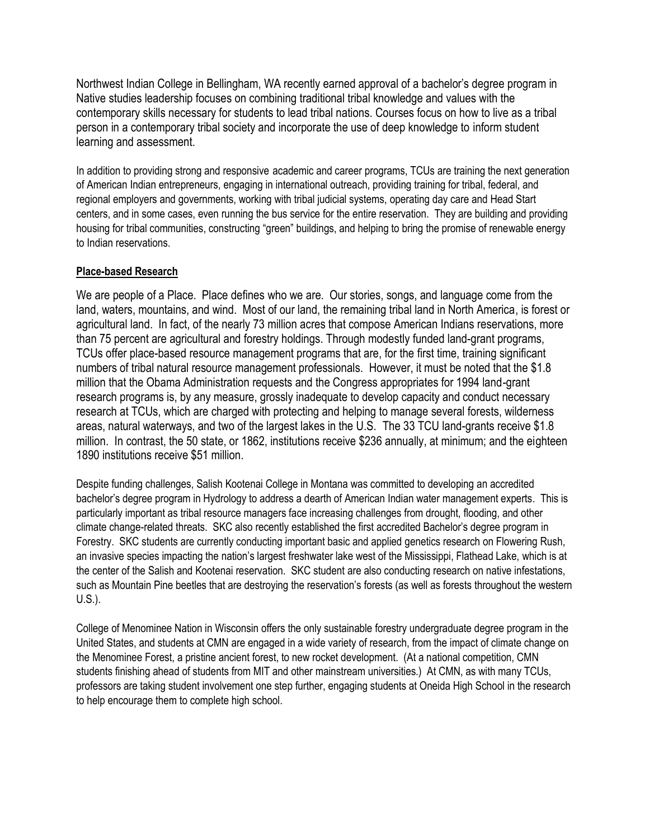Northwest Indian College in Bellingham, WA recently earned approval of a bachelor's degree program in Native studies leadership focuses on combining traditional tribal knowledge and values with the contemporary skills necessary for students to lead tribal nations. Courses focus on how to live as a tribal person in a contemporary tribal society and incorporate the use of deep knowledge to inform student learning and assessment.

In addition to providing strong and responsive academic and career programs, TCUs are training the next generation of American Indian entrepreneurs, engaging in international outreach, providing training for tribal, federal, and regional employers and governments, working with tribal judicial systems, operating day care and Head Start centers, and in some cases, even running the bus service for the entire reservation. They are building and providing housing for tribal communities, constructing "green" buildings, and helping to bring the promise of renewable energy to Indian reservations.

#### **Place-based Research**

We are people of a Place. Place defines who we are. Our stories, songs, and language come from the land, waters, mountains, and wind. Most of our land, the remaining tribal land in North America, is forest or agricultural land. In fact, of the nearly 73 million acres that compose American Indians reservations, more than 75 percent are agricultural and forestry holdings. Through modestly funded land-grant programs, TCUs offer place-based resource management programs that are, for the first time, training significant numbers of tribal natural resource management professionals. However, it must be noted that the \$1.8 million that the Obama Administration requests and the Congress appropriates for 1994 land-grant research programs is, by any measure, grossly inadequate to develop capacity and conduct necessary research at TCUs, which are charged with protecting and helping to manage several forests, wilderness areas, natural waterways, and two of the largest lakes in the U.S. The 33 TCU land-grants receive \$1.8 million. In contrast, the 50 state, or 1862, institutions receive \$236 annually, at minimum; and the eighteen 1890 institutions receive \$51 million.

Despite funding challenges, Salish Kootenai College in Montana was committed to developing an accredited bachelor's degree program in Hydrology to address a dearth of American Indian water management experts. This is particularly important as tribal resource managers face increasing challenges from drought, flooding, and other climate change-related threats. SKC also recently established the first accredited Bachelor's degree program in Forestry. SKC students are currently conducting important basic and applied genetics research on Flowering Rush, an invasive species impacting the nation's largest freshwater lake west of the Mississippi, Flathead Lake, which is at the center of the Salish and Kootenai reservation. SKC student are also conducting research on native infestations, such as Mountain Pine beetles that are destroying the reservation's forests (as well as forests throughout the western U.S.).

College of Menominee Nation in Wisconsin offers the only sustainable forestry undergraduate degree program in the United States, and students at CMN are engaged in a wide variety of research, from the impact of climate change on the Menominee Forest, a pristine ancient forest, to new rocket development. (At a national competition, CMN students finishing ahead of students from MIT and other mainstream universities.) At CMN, as with many TCUs, professors are taking student involvement one step further, engaging students at Oneida High School in the research to help encourage them to complete high school.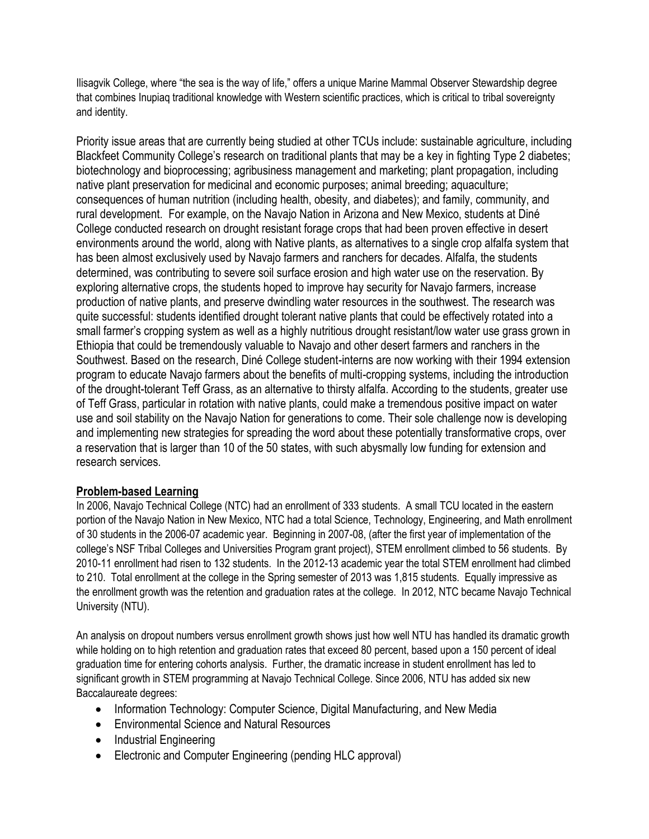Ilisagvik College, where "the sea is the way of life," offers a unique Marine Mammal Observer Stewardship degree that combines Inupiaq traditional knowledge with Western scientific practices, which is critical to tribal sovereignty and identity.

Priority issue areas that are currently being studied at other TCUs include: sustainable agriculture, including Blackfeet Community College's research on traditional plants that may be a key in fighting Type 2 diabetes; biotechnology and bioprocessing; agribusiness management and marketing; plant propagation, including native plant preservation for medicinal and economic purposes; animal breeding; aquaculture; consequences of human nutrition (including health, obesity, and diabetes); and family, community, and rural development. For example, on the Navajo Nation in Arizona and New Mexico, students at Diné College conducted research on drought resistant forage crops that had been proven effective in desert environments around the world, along with Native plants, as alternatives to a single crop alfalfa system that has been almost exclusively used by Navajo farmers and ranchers for decades. Alfalfa, the students determined, was contributing to severe soil surface erosion and high water use on the reservation. By exploring alternative crops, the students hoped to improve hay security for Navajo farmers, increase production of native plants, and preserve dwindling water resources in the southwest. The research was quite successful: students identified drought tolerant native plants that could be effectively rotated into a small farmer's cropping system as well as a highly nutritious drought resistant/low water use grass grown in Ethiopia that could be tremendously valuable to Navajo and other desert farmers and ranchers in the Southwest. Based on the research, Diné College student-interns are now working with their 1994 extension program to educate Navajo farmers about the benefits of multi-cropping systems, including the introduction of the drought-tolerant Teff Grass, as an alternative to thirsty alfalfa. According to the students, greater use of Teff Grass, particular in rotation with native plants, could make a tremendous positive impact on water use and soil stability on the Navajo Nation for generations to come. Their sole challenge now is developing and implementing new strategies for spreading the word about these potentially transformative crops, over a reservation that is larger than 10 of the 50 states, with such abysmally low funding for extension and research services.

# **Problem-based Learning**

In 2006, Navajo Technical College (NTC) had an enrollment of 333 students. A small TCU located in the eastern portion of the Navajo Nation in New Mexico, NTC had a total Science, Technology, Engineering, and Math enrollment of 30 students in the 2006-07 academic year. Beginning in 2007-08, (after the first year of implementation of the college's NSF Tribal Colleges and Universities Program grant project), STEM enrollment climbed to 56 students. By 2010-11 enrollment had risen to 132 students. In the 2012-13 academic year the total STEM enrollment had climbed to 210. Total enrollment at the college in the Spring semester of 2013 was 1,815 students. Equally impressive as the enrollment growth was the retention and graduation rates at the college. In 2012, NTC became Navajo Technical University (NTU).

An analysis on dropout numbers versus enrollment growth shows just how well NTU has handled its dramatic growth while holding on to high retention and graduation rates that exceed 80 percent, based upon a 150 percent of ideal graduation time for entering cohorts analysis. Further, the dramatic increase in student enrollment has led to significant growth in STEM programming at Navajo Technical College. Since 2006, NTU has added six new Baccalaureate degrees:

- Information Technology: Computer Science, Digital Manufacturing, and New Media
- Environmental Science and Natural Resources
- Industrial Engineering
- Electronic and Computer Engineering (pending HLC approval)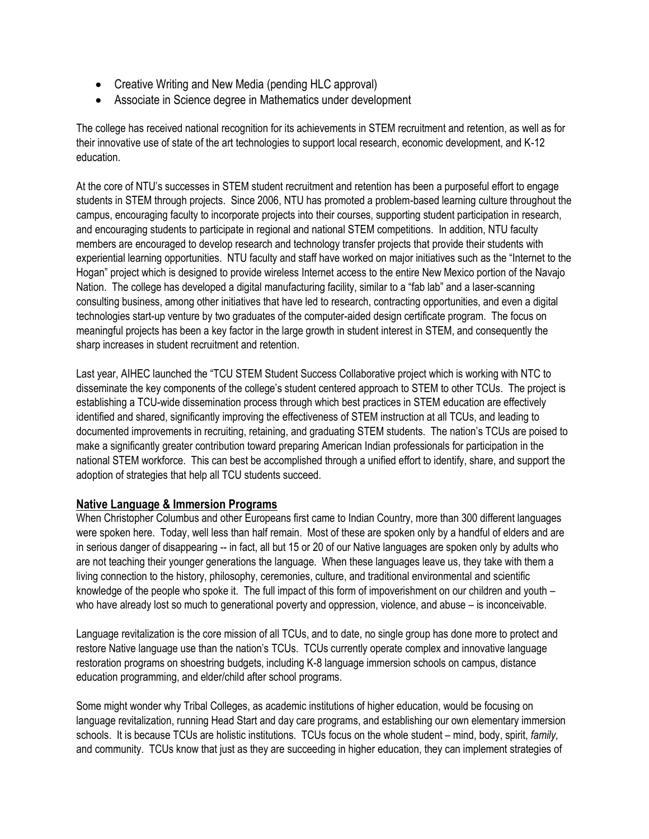- Creative Writing and New Media (pending HLC approval)
- Associate in Science degree in Mathematics under development

The college has received national recognition for its achievements in STEM recruitment and retention, as well as for their innovative use of state of the art technologies to support local research, economic development, and K-12 education.

At the core of NTU's successes in STEM student recruitment and retention has been a purposeful effort to engage students in STEM through projects. Since 2006, NTU has promoted a problem-based learning culture throughout the campus, encouraging faculty to incorporate projects into their courses, supporting student participation in research, and encouraging students to participate in regional and national STEM competitions. In addition, NTU faculty members are encouraged to develop research and technology transfer projects that provide their students with experiential learning opportunities. NTU faculty and staff have worked on major initiatives such as the "Internet to the Hogan" project which is designed to provide wireless Internet access to the entire New Mexico portion of the Navajo Nation. The college has developed a digital manufacturing facility, similar to a "fab lab" and a laser-scanning consulting business, among other initiatives that have led to research, contracting opportunities, and even a digital technologies start-up venture by two graduates of the computer-aided design certificate program. The focus on meaningful projects has been a key factor in the large growth in student interest in STEM, and consequently the sharp increases in student recruitment and retention.

Last year, AIHEC launched the "TCU STEM Student Success Collaborative project which is working with NTC to disseminate the key components of the college's student centered approach to STEM to other TCUs. The project is establishing a TCU-wide dissemination process through which best practices in STEM education are effectively identified and shared, significantly improving the effectiveness of STEM instruction at all TCUs, and leading to documented improvements in recruiting, retaining, and graduating STEM students. The nation's TCUs are poised to make a significantly greater contribution toward preparing American Indian professionals for participation in the national STEM workforce. This can best be accomplished through a unified effort to identify, share, and support the adoption of strategies that help all TCU students succeed.

#### **Native Language & Immersion Programs**

When Christopher Columbus and other Europeans first came to Indian Country, more than 300 different languages were spoken here. Today, well less than half remain. Most of these are spoken only by a handful of elders and are in serious danger of disappearing -- in fact, all but 15 or 20 of our Native languages are spoken only by adults who are not teaching their younger generations the language. When these languages leave us, they take with them a living connection to the history, philosophy, ceremonies, culture, and traditional environmental and scientific knowledge of the people who spoke it. The full impact of this form of impoverishment on our children and youth – who have already lost so much to generational poverty and oppression, violence, and abuse – is inconceivable.

Language revitalization is the core mission of all TCUs, and to date, no single group has done more to protect and restore Native language use than the nation's TCUs. TCUs currently operate complex and innovative language restoration programs on shoestring budgets, including K-8 language immersion schools on campus, distance education programming, and elder/child after school programs.

Some might wonder why Tribal Colleges, as academic institutions of higher education, would be focusing on language revitalization, running Head Start and day care programs, and establishing our own elementary immersion schools. It is because TCUs are holistic institutions. TCUs focus on the whole student – mind, body, spirit, *family,*  and community. TCUs know that just as they are succeeding in higher education, they can implement strategies of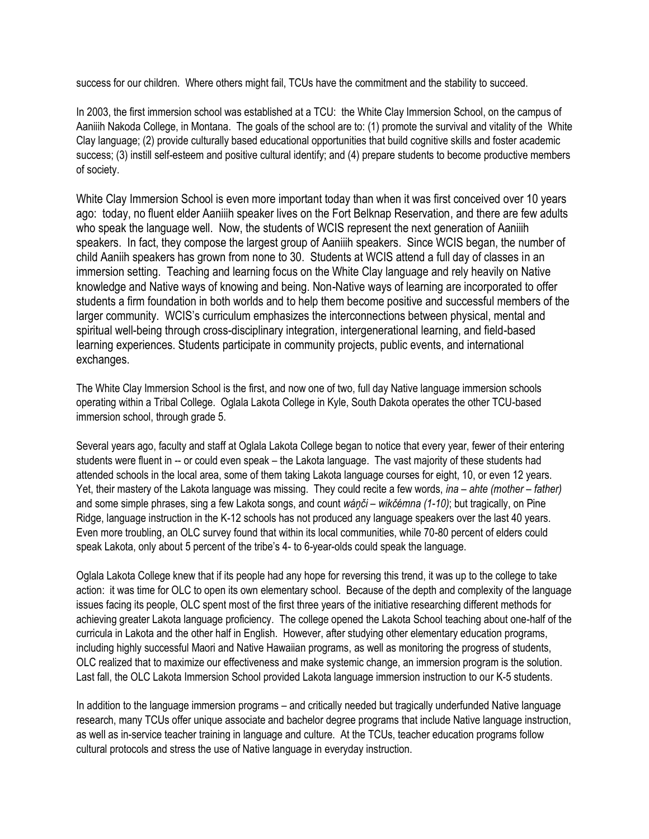success for our children. Where others might fail, TCUs have the commitment and the stability to succeed.

In 2003, the first immersion school was established at a TCU: the White Clay Immersion School, on the campus of Aaniiih Nakoda College, in Montana. The goals of the school are to: (1) promote the survival and vitality of the White Clay language; (2) provide culturally based educational opportunities that build cognitive skills and foster academic success; (3) instill self-esteem and positive cultural identify; and (4) prepare students to become productive members of society.

White Clay Immersion School is even more important today than when it was first conceived over 10 years ago: today, no fluent elder Aaniiih speaker lives on the Fort Belknap Reservation, and there are few adults who speak the language well. Now, the students of WCIS represent the next generation of Aaniiih speakers. In fact, they compose the largest group of Aaniiih speakers. Since WCIS began, the number of child Aaniih speakers has grown from none to 30. Students at WCIS attend a full day of classes in an immersion setting. Teaching and learning focus on the White Clay language and rely heavily on Native knowledge and Native ways of knowing and being. Non-Native ways of learning are incorporated to offer students a firm foundation in both worlds and to help them become positive and successful members of the larger community. WCIS's curriculum emphasizes the interconnections between physical, mental and spiritual well-being through cross-disciplinary integration, intergenerational learning, and field-based learning experiences. Students participate in community projects, public events, and international exchanges.

The White Clay Immersion School is the first, and now one of two, full day Native language immersion schools operating within a Tribal College. Oglala Lakota College in Kyle, South Dakota operates the other TCU-based immersion school, through grade 5.

Several years ago, faculty and staff at Oglala Lakota College began to notice that every year, fewer of their entering students were fluent in -- or could even speak – the Lakota language. The vast majority of these students had attended schools in the local area, some of them taking Lakota language courses for eight, 10, or even 12 years. Yet, their mastery of the Lakota language was missing. They could recite a few words, *ina – ahte (mother – father)* and some simple phrases, sing a few Lakota songs, and count *wáņči – wikčémna (1-10)*; but tragically, on Pine Ridge, language instruction in the K-12 schools has not produced any language speakers over the last 40 years. Even more troubling, an OLC survey found that within its local communities, while 70-80 percent of elders could speak Lakota, only about 5 percent of the tribe's 4- to 6-year-olds could speak the language.

Oglala Lakota College knew that if its people had any hope for reversing this trend, it was up to the college to take action: it was time for OLC to open its own elementary school. Because of the depth and complexity of the language issues facing its people, OLC spent most of the first three years of the initiative researching different methods for achieving greater Lakota language proficiency. The college opened the Lakota School teaching about one-half of the curricula in Lakota and the other half in English. However, after studying other elementary education programs, including highly successful Maori and Native Hawaiian programs, as well as monitoring the progress of students, OLC realized that to maximize our effectiveness and make systemic change, an immersion program is the solution. Last fall, the OLC Lakota Immersion School provided Lakota language immersion instruction to our K-5 students.

In addition to the language immersion programs – and critically needed but tragically underfunded Native language research, many TCUs offer unique associate and bachelor degree programs that include Native language instruction, as well as in-service teacher training in language and culture. At the TCUs, teacher education programs follow cultural protocols and stress the use of Native language in everyday instruction.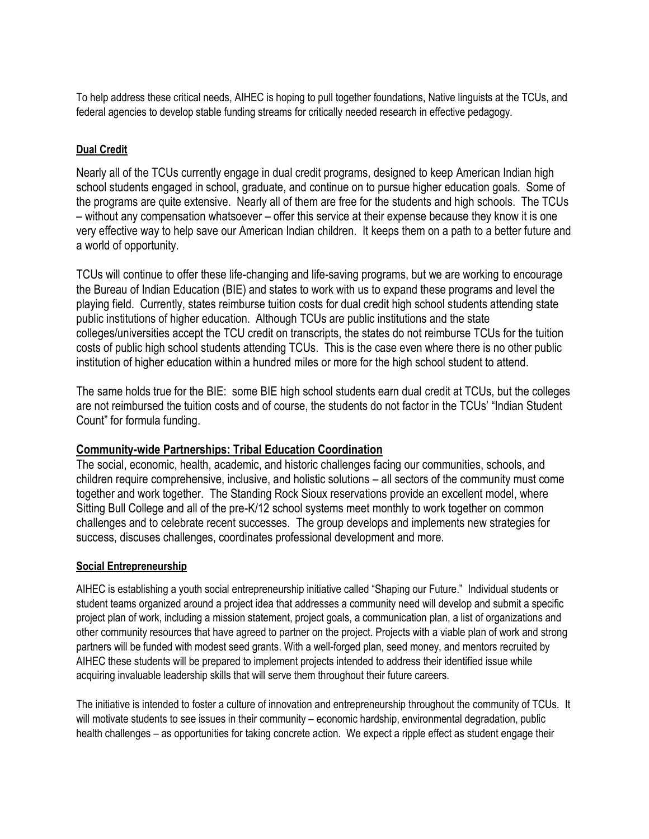To help address these critical needs, AIHEC is hoping to pull together foundations, Native linguists at the TCUs, and federal agencies to develop stable funding streams for critically needed research in effective pedagogy.

## **Dual Credit**

Nearly all of the TCUs currently engage in dual credit programs, designed to keep American Indian high school students engaged in school, graduate, and continue on to pursue higher education goals. Some of the programs are quite extensive. Nearly all of them are free for the students and high schools. The TCUs – without any compensation whatsoever – offer this service at their expense because they know it is one very effective way to help save our American Indian children. It keeps them on a path to a better future and a world of opportunity.

TCUs will continue to offer these life-changing and life-saving programs, but we are working to encourage the Bureau of Indian Education (BIE) and states to work with us to expand these programs and level the playing field. Currently, states reimburse tuition costs for dual credit high school students attending state public institutions of higher education. Although TCUs are public institutions and the state colleges/universities accept the TCU credit on transcripts, the states do not reimburse TCUs for the tuition costs of public high school students attending TCUs. This is the case even where there is no other public institution of higher education within a hundred miles or more for the high school student to attend.

The same holds true for the BIE: some BIE high school students earn dual credit at TCUs, but the colleges are not reimbursed the tuition costs and of course, the students do not factor in the TCUs' "Indian Student Count" for formula funding.

# **Community-wide Partnerships: Tribal Education Coordination**

The social, economic, health, academic, and historic challenges facing our communities, schools, and children require comprehensive, inclusive, and holistic solutions – all sectors of the community must come together and work together. The Standing Rock Sioux reservations provide an excellent model, where Sitting Bull College and all of the pre-K/12 school systems meet monthly to work together on common challenges and to celebrate recent successes. The group develops and implements new strategies for success, discuses challenges, coordinates professional development and more.

#### **Social Entrepreneurship**

AIHEC is establishing a youth social entrepreneurship initiative called "Shaping our Future." Individual students or student teams organized around a project idea that addresses a community need will develop and submit a specific project plan of work, including a mission statement, project goals, a communication plan, a list of organizations and other community resources that have agreed to partner on the project. Projects with a viable plan of work and strong partners will be funded with modest seed grants. With a well-forged plan, seed money, and mentors recruited by AIHEC these students will be prepared to implement projects intended to address their identified issue while acquiring invaluable leadership skills that will serve them throughout their future careers.

The initiative is intended to foster a culture of innovation and entrepreneurship throughout the community of TCUs. It will motivate students to see issues in their community – economic hardship, environmental degradation, public health challenges – as opportunities for taking concrete action. We expect a ripple effect as student engage their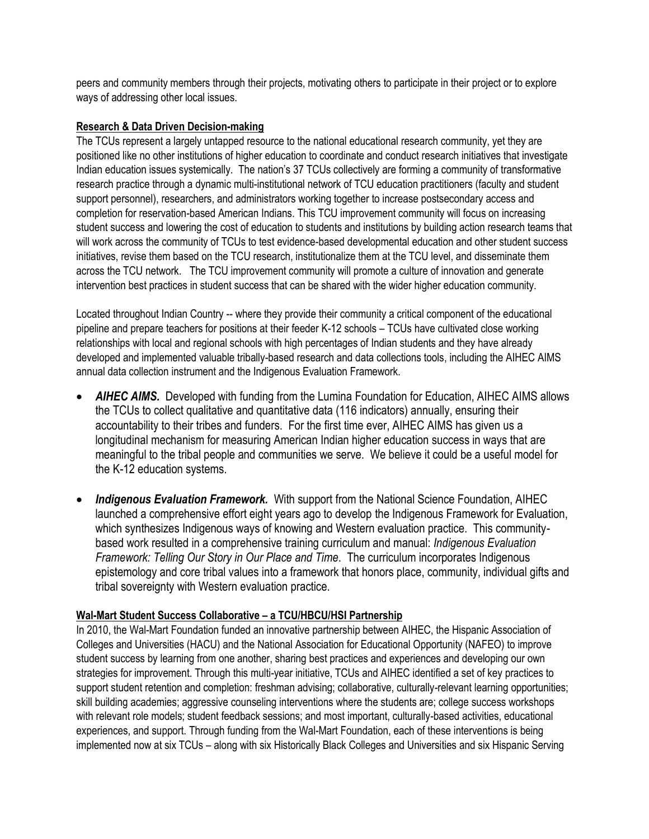peers and community members through their projects, motivating others to participate in their project or to explore ways of addressing other local issues.

#### **Research & Data Driven Decision-making**

The TCUs represent a largely untapped resource to the national educational research community, yet they are positioned like no other institutions of higher education to coordinate and conduct research initiatives that investigate Indian education issues systemically. The nation's 37 TCUs collectively are forming a community of transformative research practice through a dynamic multi-institutional network of TCU education practitioners (faculty and student support personnel), researchers, and administrators working together to increase postsecondary access and completion for reservation-based American Indians. This TCU improvement community will focus on increasing student success and lowering the cost of education to students and institutions by building action research teams that will work across the community of TCUs to test evidence-based developmental education and other student success initiatives, revise them based on the TCU research, institutionalize them at the TCU level, and disseminate them across the TCU network. The TCU improvement community will promote a culture of innovation and generate intervention best practices in student success that can be shared with the wider higher education community.

Located throughout Indian Country -- where they provide their community a critical component of the educational pipeline and prepare teachers for positions at their feeder K-12 schools – TCUs have cultivated close working relationships with local and regional schools with high percentages of Indian students and they have already developed and implemented valuable tribally-based research and data collections tools, including the AIHEC AIMS annual data collection instrument and the Indigenous Evaluation Framework.

- **AIHEC AIMS.** Developed with funding from the Lumina Foundation for Education, AIHEC AIMS allows the TCUs to collect qualitative and quantitative data (116 indicators) annually, ensuring their accountability to their tribes and funders. For the first time ever, AIHEC AIMS has given us a longitudinal mechanism for measuring American Indian higher education success in ways that are meaningful to the tribal people and communities we serve. We believe it could be a useful model for the K-12 education systems.
- *Indigenous Evaluation Framework.* With support from the National Science Foundation, AIHEC launched a comprehensive effort eight years ago to develop the Indigenous Framework for Evaluation, which synthesizes Indigenous ways of knowing and Western evaluation practice. This communitybased work resulted in a comprehensive training curriculum and manual: *Indigenous Evaluation Framework: Telling Our Story in Our Place and Time*. The curriculum incorporates Indigenous epistemology and core tribal values into a framework that honors place, community, individual gifts and tribal sovereignty with Western evaluation practice.

#### **Wal-Mart Student Success Collaborative – a TCU/HBCU/HSI Partnership**

In 2010, the Wal-Mart Foundation funded an innovative partnership between AIHEC, the Hispanic Association of Colleges and Universities (HACU) and the National Association for Educational Opportunity (NAFEO) to improve student success by learning from one another, sharing best practices and experiences and developing our own strategies for improvement. Through this multi-year initiative, TCUs and AIHEC identified a set of key practices to support student retention and completion: freshman advising; collaborative, culturally-relevant learning opportunities; skill building academies; aggressive counseling interventions where the students are; college success workshops with relevant role models; student feedback sessions; and most important, culturally-based activities, educational experiences, and support. Through funding from the Wal-Mart Foundation, each of these interventions is being implemented now at six TCUs – along with six Historically Black Colleges and Universities and six Hispanic Serving